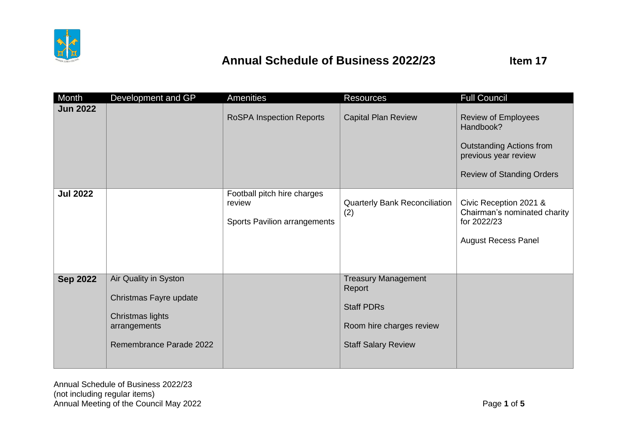

| Month           | Development and GP                                                                                             | Amenities                                                             | <b>Resources</b>                                                                                                    | <b>Full Council</b>                                                                                                                    |
|-----------------|----------------------------------------------------------------------------------------------------------------|-----------------------------------------------------------------------|---------------------------------------------------------------------------------------------------------------------|----------------------------------------------------------------------------------------------------------------------------------------|
| <b>Jun 2022</b> |                                                                                                                | <b>RoSPA Inspection Reports</b>                                       | <b>Capital Plan Review</b>                                                                                          | <b>Review of Employees</b><br>Handbook?<br><b>Outstanding Actions from</b><br>previous year review<br><b>Review of Standing Orders</b> |
| <b>Jul 2022</b> |                                                                                                                | Football pitch hire charges<br>review<br>Sports Pavilion arrangements | <b>Quarterly Bank Reconciliation</b><br>(2)                                                                         | Civic Reception 2021 &<br>Chairman's nominated charity<br>for 2022/23<br><b>August Recess Panel</b>                                    |
| <b>Sep 2022</b> | Air Quality in Syston<br>Christmas Fayre update<br>Christmas lights<br>arrangements<br>Remembrance Parade 2022 |                                                                       | <b>Treasury Management</b><br>Report<br><b>Staff PDRs</b><br>Room hire charges review<br><b>Staff Salary Review</b> |                                                                                                                                        |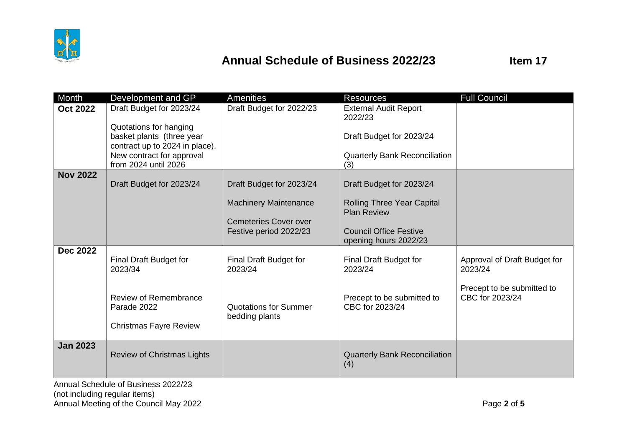

| Month           | Development and GP                                                           | <b>Amenities</b>                               | <b>Resources</b>                                        | <b>Full Council</b>                           |
|-----------------|------------------------------------------------------------------------------|------------------------------------------------|---------------------------------------------------------|-----------------------------------------------|
| <b>Oct 2022</b> | Draft Budget for 2023/24<br>Quotations for hanging                           | Draft Budget for 2022/23                       | <b>External Audit Report</b><br>2022/23                 |                                               |
|                 | basket plants (three year<br>contract up to 2024 in place).                  |                                                | Draft Budget for 2023/24                                |                                               |
|                 | New contract for approval<br>from 2024 until 2026                            |                                                | <b>Quarterly Bank Reconciliation</b><br>(3)             |                                               |
| <b>Nov 2022</b> |                                                                              |                                                |                                                         |                                               |
|                 | Draft Budget for 2023/24                                                     | Draft Budget for 2023/24                       | Draft Budget for 2023/24                                |                                               |
|                 |                                                                              | <b>Machinery Maintenance</b>                   | <b>Rolling Three Year Capital</b><br><b>Plan Review</b> |                                               |
|                 |                                                                              | <b>Cemeteries Cover over</b>                   |                                                         |                                               |
|                 |                                                                              | Festive period 2022/23                         | <b>Council Office Festive</b><br>opening hours 2022/23  |                                               |
| <b>Dec 2022</b> |                                                                              |                                                |                                                         |                                               |
|                 | Final Draft Budget for<br>2023/34                                            | Final Draft Budget for<br>2023/24              | Final Draft Budget for<br>2023/24                       | Approval of Draft Budget for<br>2023/24       |
|                 | <b>Review of Remembrance</b><br>Parade 2022<br><b>Christmas Fayre Review</b> | <b>Quotations for Summer</b><br>bedding plants | Precept to be submitted to<br>CBC for 2023/24           | Precept to be submitted to<br>CBC for 2023/24 |
|                 |                                                                              |                                                |                                                         |                                               |
| <b>Jan 2023</b> | Review of Christmas Lights                                                   |                                                | <b>Quarterly Bank Reconciliation</b><br>(4)             |                                               |

Annual Schedule of Business 2022/23 (not including regular items) Annual Meeting of the Council May 2022 **Page 2** of 5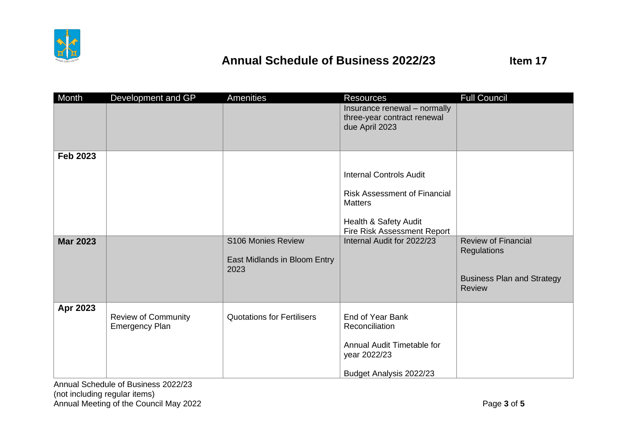

| Month           | Development and GP         | Amenities                         | <b>Resources</b>                    | <b>Full Council</b>               |
|-----------------|----------------------------|-----------------------------------|-------------------------------------|-----------------------------------|
|                 |                            |                                   | Insurance renewal - normally        |                                   |
|                 |                            |                                   | three-year contract renewal         |                                   |
|                 |                            |                                   | due April 2023                      |                                   |
|                 |                            |                                   |                                     |                                   |
| <b>Feb 2023</b> |                            |                                   |                                     |                                   |
|                 |                            |                                   |                                     |                                   |
|                 |                            |                                   | <b>Internal Controls Audit</b>      |                                   |
|                 |                            |                                   | <b>Risk Assessment of Financial</b> |                                   |
|                 |                            |                                   | <b>Matters</b>                      |                                   |
|                 |                            |                                   |                                     |                                   |
|                 |                            |                                   | Health & Safety Audit               |                                   |
|                 |                            |                                   | Fire Risk Assessment Report         |                                   |
| <b>Mar 2023</b> |                            | S106 Monies Review                | Internal Audit for 2022/23          | <b>Review of Financial</b>        |
|                 |                            | East Midlands in Bloom Entry      |                                     | <b>Regulations</b>                |
|                 |                            | 2023                              |                                     |                                   |
|                 |                            |                                   |                                     | <b>Business Plan and Strategy</b> |
|                 |                            |                                   |                                     | <b>Review</b>                     |
|                 |                            |                                   |                                     |                                   |
| Apr 2023        | <b>Review of Community</b> | <b>Quotations for Fertilisers</b> | End of Year Bank                    |                                   |
|                 | <b>Emergency Plan</b>      |                                   | Reconciliation                      |                                   |
|                 |                            |                                   |                                     |                                   |
|                 |                            |                                   | Annual Audit Timetable for          |                                   |
|                 |                            |                                   | year 2022/23                        |                                   |
|                 |                            |                                   | Budget Analysis 2022/23             |                                   |

Annual Schedule of Business 2022/23 (not including regular items) Annual Meeting of the Council May 2022 **Page 3** of 5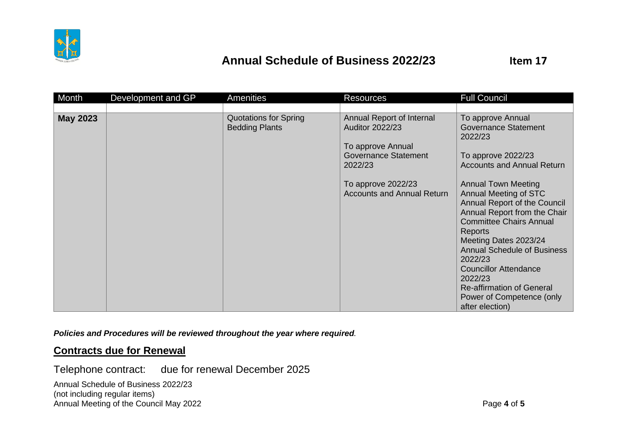

| Month           | Development and GP | <b>Amenities</b>                                      | <b>Resources</b>                                                                                                                                                       | <b>Full Council</b>                                                                                                                                                                                                                                                                                                                                                                                         |
|-----------------|--------------------|-------------------------------------------------------|------------------------------------------------------------------------------------------------------------------------------------------------------------------------|-------------------------------------------------------------------------------------------------------------------------------------------------------------------------------------------------------------------------------------------------------------------------------------------------------------------------------------------------------------------------------------------------------------|
|                 |                    |                                                       |                                                                                                                                                                        |                                                                                                                                                                                                                                                                                                                                                                                                             |
| <b>May 2023</b> |                    | <b>Quotations for Spring</b><br><b>Bedding Plants</b> | Annual Report of Internal<br><b>Auditor 2022/23</b><br>To approve Annual<br>Governance Statement<br>2022/23<br>To approve 2022/23<br><b>Accounts and Annual Return</b> | To approve Annual<br><b>Governance Statement</b><br>2022/23<br>To approve 2022/23<br><b>Accounts and Annual Return</b><br><b>Annual Town Meeting</b><br>Annual Meeting of STC<br>Annual Report of the Council<br>Annual Report from the Chair<br><b>Committee Chairs Annual</b><br><b>Reports</b><br>Meeting Dates 2023/24<br><b>Annual Schedule of Business</b><br>2022/23<br><b>Councillor Attendance</b> |
|                 |                    |                                                       |                                                                                                                                                                        | 2022/23<br><b>Re-affirmation of General</b><br>Power of Competence (only                                                                                                                                                                                                                                                                                                                                    |
|                 |                    |                                                       |                                                                                                                                                                        | after election)                                                                                                                                                                                                                                                                                                                                                                                             |

*Policies and Procedures will be reviewed throughout the year where required.*

#### **Contracts due for Renewal**

Telephone contract: due for renewal December 2025

Annual Schedule of Business 2022/23 (not including regular items) Annual Meeting of the Council May 2022 **Page 4** of 5